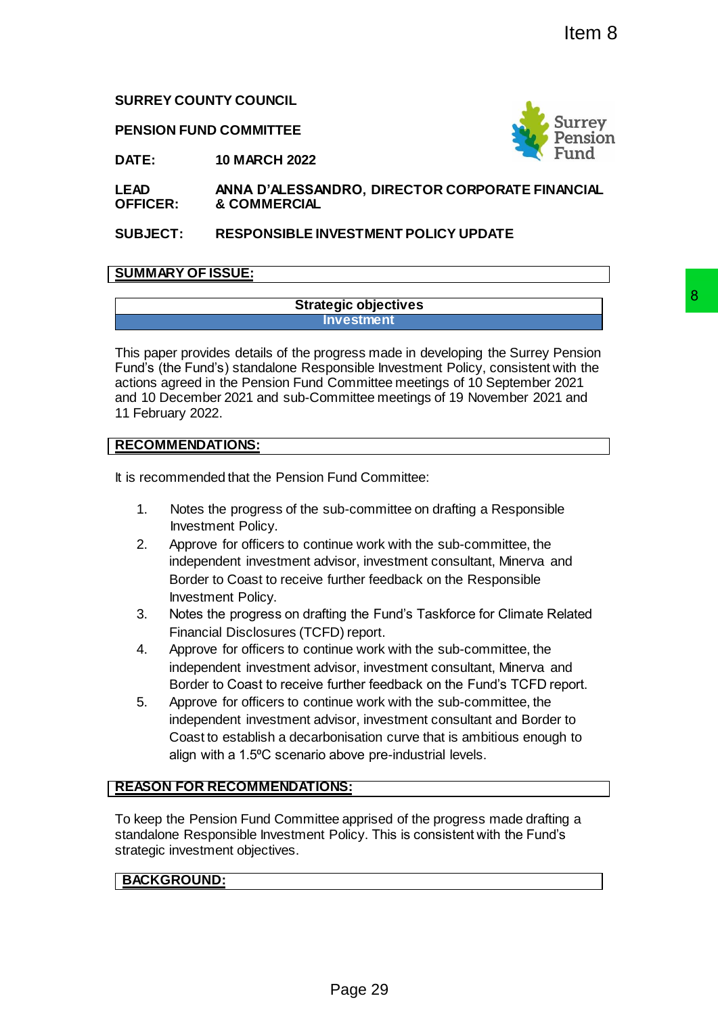# **SURREY COUNTY COUNCIL**

**PENSION FUND COMMITTEE**



**DATE: 10 MARCH 2022**

**LEAD OFFICER: ANNA D'ALESSANDRO, DIRECTOR CORPORATE FINANCIAL & COMMERCIAL**

**SUBJECT: RESPONSIBLE INVESTMENT POLICY UPDATE**

# **SUMMARY OF ISSUE:**

## **Strategic objectives Investment**

This paper provides details of the progress made in developing the Surrey Pension Fund's (the Fund's) standalone Responsible Investment Policy, consistent with the actions agreed in the Pension Fund Committee meetings of 10 September 2021 and 10 December 2021 and sub-Committee meetings of 19 November 2021 and 11 February 2022. **By-considering the Survey Pension**<br> **Pages made in developing the Surrey Pension**<br>
ponsible Investment Policy, consistent with the<br>
Committee meetings of 10 September 2021<br> **Particle meetings of 19 November 2021**<br> **Page 2** 

# **RECOMMENDATIONS:**

It is recommended that the Pension Fund Committee:

- 1. Notes the progress of the sub-committee on drafting a Responsible Investment Policy.
- 2. Approve for officers to continue work with the sub-committee, the independent investment advisor, investment consultant, Minerva and Border to Coast to receive further feedback on the Responsible Investment Policy.
- 3. Notes the progress on drafting the Fund's Taskforce for Climate Related Financial Disclosures (TCFD) report.
- 4. Approve for officers to continue work with the sub-committee, the independent investment advisor, investment consultant, Minerva and Border to Coast to receive further feedback on the Fund's TCFD report.
- 5. Approve for officers to continue work with the sub-committee, the independent investment advisor, investment consultant and Border to Coast to establish a decarbonisation curve that is ambitious enough to align with a 1.5°C scenario above pre-industrial levels.

# **REASON FOR RECOMMENDATIONS:**

To keep the Pension Fund Committee apprised of the progress made drafting a standalone Responsible Investment Policy. This is consistent with the Fund's strategic investment objectives.

# **BACKGROUND:**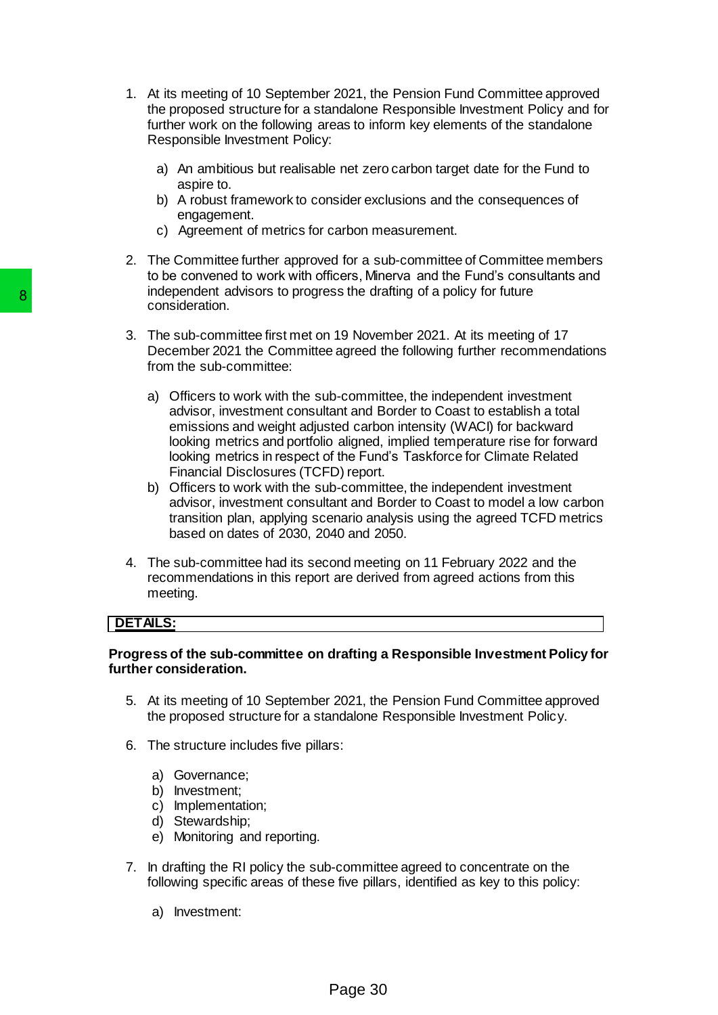- 1. At its meeting of 10 September 2021, the Pension Fund Committee approved the proposed structure for a standalone Responsible Investment Policy and for further work on the following areas to inform key elements of the standalone Responsible Investment Policy:
	- a) An ambitious but realisable net zero carbon target date for the Fund to aspire to.
	- b) A robust framework to consider exclusions and the consequences of engagement.
	- c) Agreement of metrics for carbon measurement.
- 2. The Committee further approved for a sub-committee of Committee members to be convened to work with officers, Minerva and the Fund's consultants and independent advisors to progress the drafting of a policy for future consideration.
- 3. The sub-committee first met on 19 November 2021. At its meeting of 17 December 2021 the Committee agreed the following further recommendations from the sub-committee:
- a) Officers to work with the sub-committee, the independent investment advisor, investment consultant and Border to Coast to establish a total emissions and weight adjusted carbon intensity (WACI) for backward looking metrics and portfolio aligned, implied temperature rise for forward looking metrics in respect of the Fund's Taskforce for Climate Related Financial Disclosures (TCFD) report. 8<br>
molephenen avasors to progress me drace<br>
consideration.<br>
3. The sub-committee first met on 19 Nover<br>
December 2021 the Committee:<br>
a) Officers to work with the sub-committee<br>
a) Chficers to work with the sub-committee<br>
	- b) Officers to work with the sub-committee, the independent investment advisor, investment consultant and Border to Coast to model a low carbon transition plan, applying scenario analysis using the agreed TCFD metrics based on dates of 2030, 2040 and 2050.
	- 4. The sub-committee had its second meeting on 11 February 2022 and the recommendations in this report are derived from agreed actions from this meeting.

# **DETAILS:**

## **Progress of the sub-committee on drafting a Responsible Investment Policy for further consideration.**

- 5. At its meeting of 10 September 2021, the Pension Fund Committee approved the proposed structure for a standalone Responsible Investment Policy.
- 6. The structure includes five pillars:
	- a) Governance;
	- b) Investment;
	- c) Implementation;
	- d) Stewardship;
	- e) Monitoring and reporting.
- 7. In drafting the RI policy the sub-committee agreed to concentrate on the following specific areas of these five pillars, identified as key to this policy:
	- a) Investment: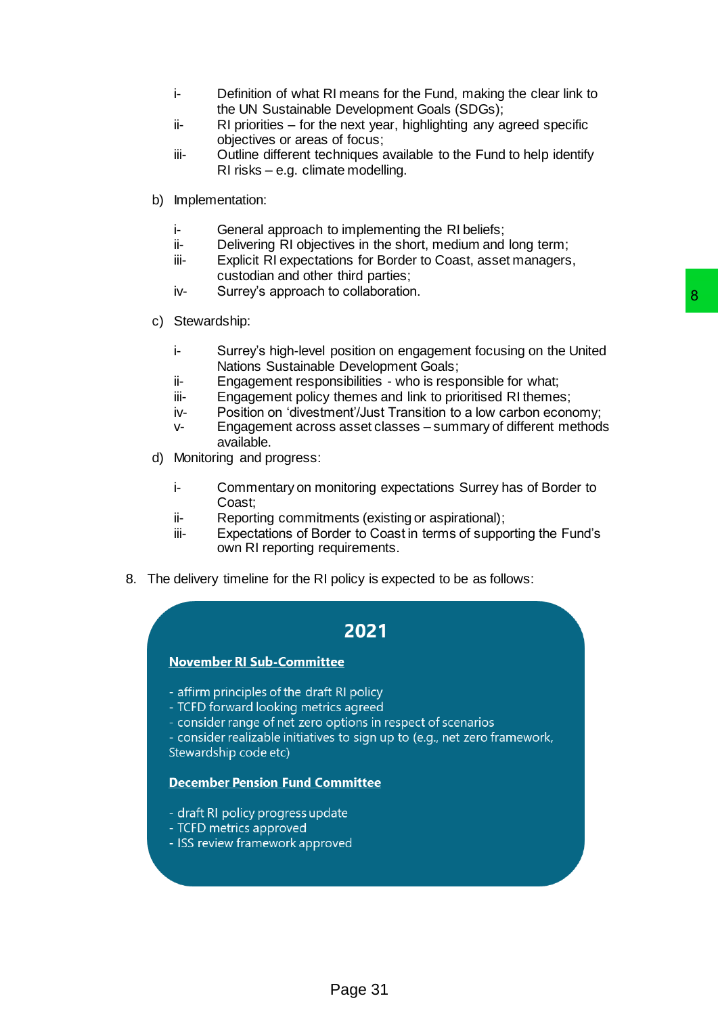- i- Definition of what RI means for the Fund, making the clear link to the UN Sustainable Development Goals (SDGs);
- ii- RI priorities for the next year, highlighting any agreed specific objectives or areas of focus;
- iii- Outline different techniques available to the Fund to help identify RI risks – e.g. climate modelling.
- b) Implementation:
	- i- General approach to implementing the RI beliefs;
	- ii- Delivering RI objectives in the short, medium and long term;
	- iii- Explicit RI expectations for Border to Coast, asset managers, custodian and other third parties;
	- iv- Surrey's approach to collaboration.
- c) Stewardship:
- i- Surrey's high-level position on engagement focusing on the United Nations Sustainable Development Goals; Bosition on engagement focusing on the United<br>B Development Goals;<br>Bosition on engagement focusing on the United<br>B Pevelopment Goals;<br>therm<sup>y</sup>./Just Transition to a low carbon economy;<br>a saset classes – summary of differen
	- ii- Engagement responsibilities who is responsible for what;
	- iii-<br>
	Engagement policy themes and link to prioritised RI themes;
	- iv- Position on 'divestment'/Just Transition to a low carbon economy;
	- v- Engagement across asset classes summary of different methods available.
- d) Monitoring and progress:
	- i- Commentary on monitoring expectations Surrey has of Border to Coast;
	- ii- Reporting commitments (existing or aspirational);
	- iii- Expectations of Border to Coast in terms of supporting the Fund's own RI reporting requirements.
- 8. The delivery timeline for the RI policy is expected to be as follows:

- 
- 
- 
- Stewardship code etc)

- 
- TCFD metrics approved
-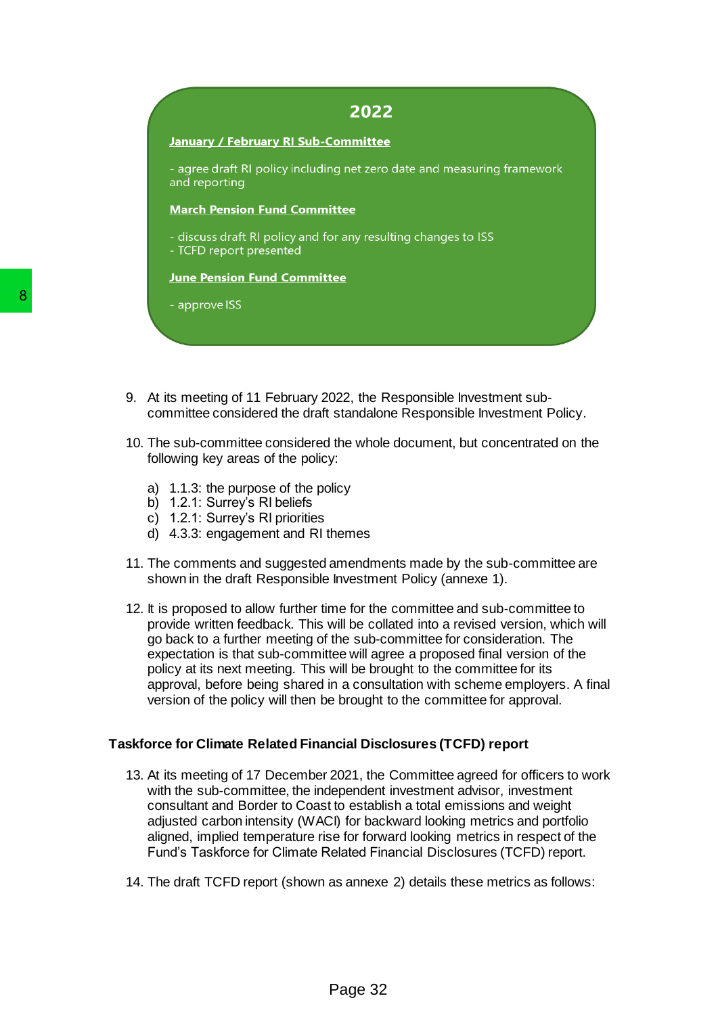## **January / February RI Sub-Committee**

- agree draft RI policy including net zero date and measuring framework and reporting

### **March Pension Fund Committee**

- discuss draft RI policy and for any resulting changes to ISS

- TCFD report presented

## **June Pension Fund Committee**

- 
- 9. At its meeting of 11 February 2022, the Responsible Investment subcommittee considered the draft standalone Responsible Investment Policy.
- 10. The sub-committee considered the whole document, but concentrated on the following key areas of the policy:
	- a) 1.1.3: the purpose of the policy
	- b) 1.2.1: Surrey's RI beliefs
	- c) 1.2.1: Surrey's RI priorities
	- d) 4.3.3: engagement and RI themes
- 11. The comments and suggested amendments made by the sub-committee are shown in the draft Responsible Investment Policy (annexe 1).
- 12. It is proposed to allow further time for the committee and sub-committee to provide written feedback. This will be collated into a revised version, which will go back to a further meeting of the sub-committee for consideration. The expectation is that sub-committee will agree a proposed final version of the policy at its next meeting. This will be brought to the committee for its approval, before being shared in a consultation with scheme employers. A final version of the policy will then be brought to the committee for approval. 8<br>
2. At its meeting of 11 February 2022, the R<br>
2. At its meeting of 11 February 2022, the R<br>
2. Committee considered the draft standalor<br>
10. The sub-committee considered the whole<br>
10lowing key areas of the policy:<br>
2.

# **Taskforce for Climate Related Financial Disclosures (TCFD) report**

- 13. At its meeting of 17 December 2021, the Committee agreed for officers to work with the sub-committee, the independent investment advisor, investment consultant and Border to Coast to establish a total emissions and weight adjusted carbon intensity (WACI) for backward looking metrics and portfolio aligned, implied temperature rise for forward looking metrics in respect of the Fund's Taskforce for Climate Related Financial Disclosures (TCFD) report.
- 14. The draft TCFD report (shown as annexe 2) details these metrics as follows: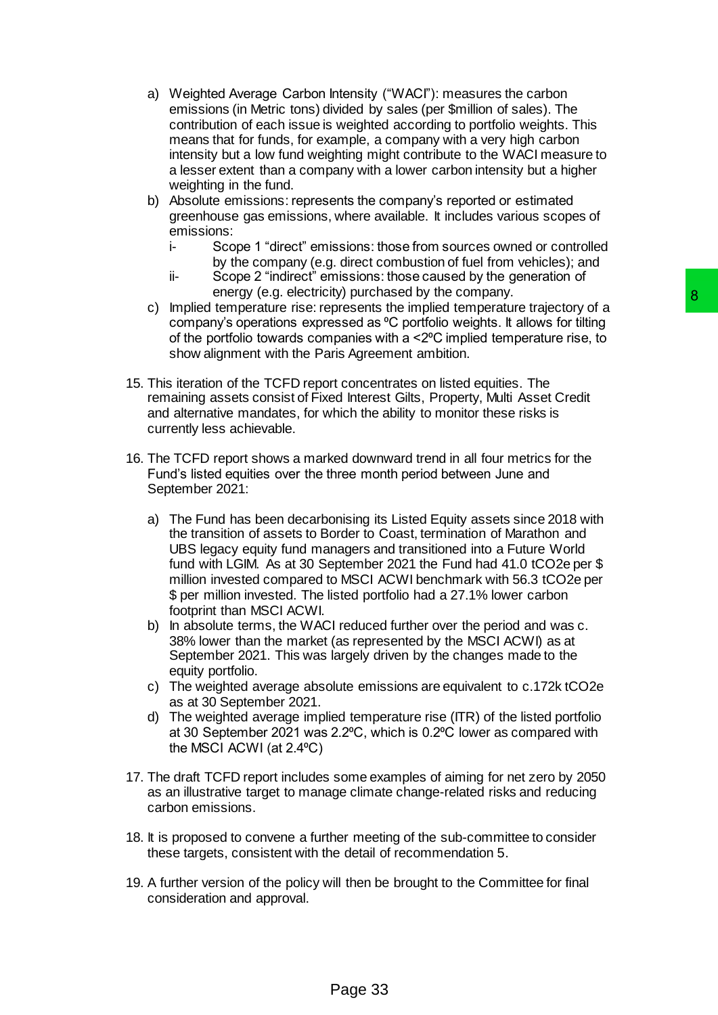- a) Weighted Average Carbon Intensity ("WACI"): measures the carbon emissions (in Metric tons) divided by sales (per \$million of sales). The contribution of each issue is weighted according to portfolio weights. This means that for funds, for example, a company with a very high carbon intensity but a low fund weighting might contribute to the WACI measure to a lesser extent than a company with a lower carbon intensity but a higher weighting in the fund.
- b) Absolute emissions: represents the company's reported or estimated greenhouse gas emissions, where available. It includes various scopes of emissions:
	- i- Scope 1 "direct" emissions: those from sources owned or controlled by the company (e.g. direct combustion of fuel from vehicles); and
	- ii- Scope 2 "indirect" emissions: those caused by the generation of energy (e.g. electricity) purchased by the company.
- c) Implied temperature rise: represents the implied temperature trajectory of a company's operations expressed as <sup>o</sup>C portfolio weights. It allows for tilting of the portfolio towards companies with a <2⁰C implied temperature rise, to show alignment with the Paris Agreement ambition.
- 15. This iteration of the TCFD report concentrates on listed equities. The remaining assets consist of Fixed Interest Gilts, Property, Multi Asset Credit and alternative mandates, for which the ability to monitor these risks is currently less achievable.
- 16. The TCFD report shows a marked downward trend in all four metrics for the Fund's listed equities over the three month period between June and September 2021:
- a) The Fund has been decarbonising its Listed Equity assets since 2018 with the transition of assets to Border to Coast, termination of Marathon and UBS legacy equity fund managers and transitioned into a Future World fund with LGIM. As at 30 September 2021 the Fund had 41.0 tCO2e per \$ million invested compared to MSCI ACWI benchmark with 56.3 tCO2e per \$ per million invested. The listed portfolio had a 27.1% lower carbon footprint than MSCI ACWI. ny) purcansaed by the company.<br>
The presents the implied temperature trajectory of a<br>
sessed as <sup>9</sup>C portfolio weights. It allows for tilting<br>
spanies with a <2°C implied temperature trajectory of a<br>
ris Agreement ambition
	- b) In absolute terms, the WACI reduced further over the period and was c. 38% lower than the market (as represented by the MSCI ACWI) as at September 2021. This was largely driven by the changes made to the equity portfolio.
	- c) The weighted average absolute emissions are equivalent to c.172k tCO2e as at 30 September 2021.
	- d) The weighted average implied temperature rise (ITR) of the listed portfolio at 30 September 2021 was 2.2<sup>o</sup>C, which is 0.2<sup>o</sup>C lower as compared with the MSCI ACWI (at 2.4⁰C)
- 17. The draft TCFD report includes some examples of aiming for net zero by 2050 as an illustrative target to manage climate change-related risks and reducing carbon emissions.
- 18. It is proposed to convene a further meeting of the sub-committee to consider these targets, consistent with the detail of recommendation 5.
- 19. A further version of the policy will then be brought to the Committee for final consideration and approval.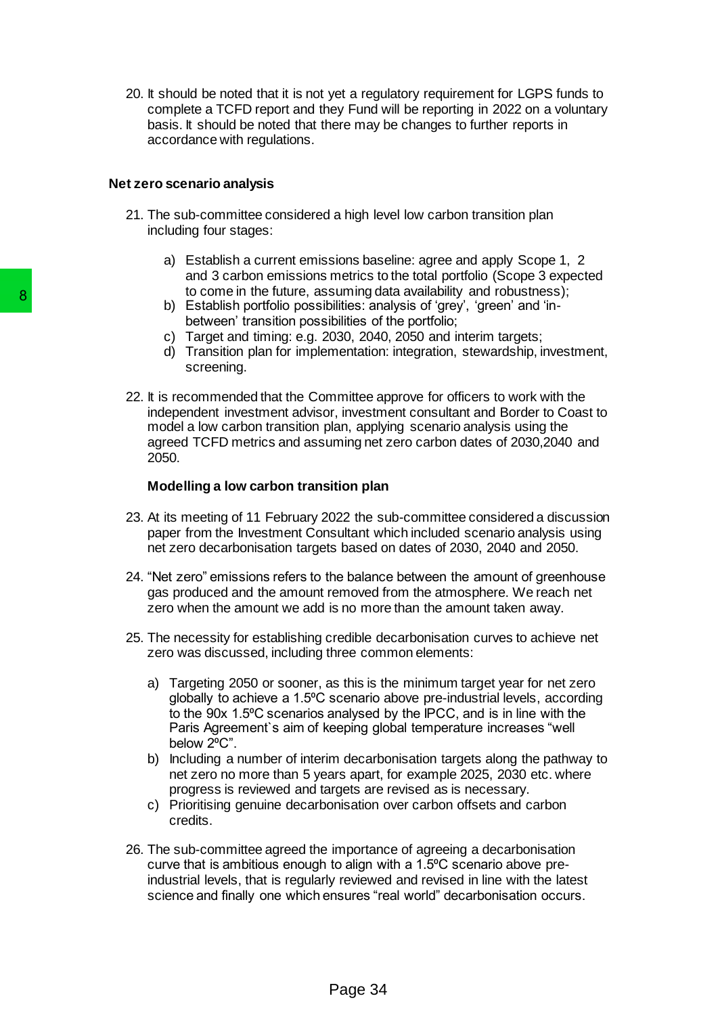20. It should be noted that it is not yet a regulatory requirement for LGPS funds to complete a TCFD report and they Fund will be reporting in 2022 on a voluntary basis. It should be noted that there may be changes to further reports in accordance with regulations.

### **Net zero scenario analysis**

- 21. The sub-committee considered a high level low carbon transition plan including four stages:
	- a) Establish a current emissions baseline: agree and apply Scope 1, 2 and 3 carbon emissions metrics to the total portfolio (Scope 3 expected to come in the future, assuming data availability and robustness);
	- b) Establish portfolio possibilities: analysis of 'grey', 'green' and 'inbetween' transition possibilities of the portfolio;
	- c) Target and timing: e.g. 2030, 2040, 2050 and interim targets;
	- d) Transition plan for implementation: integration, stewardship, investment, screening.
- 22. It is recommended that the Committee approve for officers to work with the independent investment advisor, investment consultant and Border to Coast to model a low carbon transition plan, applying scenario analysis using the agreed TCFD metrics and assuming net zero carbon dates of 2030,2040 and 2050. 8<br>
b Comern the tuture, assuming to<br>
b Establish portfolio possibilities: and<br>
b Establish portfolio possibilities: and<br>
c) Target and timing: e.g. 2030, 2040<br>
d) Transition plan for implementation<br>
22. It is recommended t

### **Modelling a low carbon transition plan**

- 23. At its meeting of 11 February 2022 the sub-committee considered a discussion paper from the Investment Consultant which included scenario analysis using net zero decarbonisation targets based on dates of 2030, 2040 and 2050.
- 24. "Net zero" emissions refers to the balance between the amount of greenhouse gas produced and the amount removed from the atmosphere. We reach net zero when the amount we add is no more than the amount taken away.
- 25. The necessity for establishing credible decarbonisation curves to achieve net zero was discussed, including three common elements:
	- a) Targeting 2050 or sooner, as this is the minimum target year for net zero globally to achieve a 1.5°C scenario above pre-industrial levels, according to the 90x 1.5°C scenarios analysed by the IPCC, and is in line with the Paris Agreement`s aim of keeping global temperature increases "well below 2°C".
	- b) Including a number of interim decarbonisation targets along the pathway to net zero no more than 5 years apart, for example 2025, 2030 etc. where progress is reviewed and targets are revised as is necessary.
	- c) Prioritising genuine decarbonisation over carbon offsets and carbon credits.
- 26. The sub-committee agreed the importance of agreeing a decarbonisation curve that is ambitious enough to align with a 1.5⁰C scenario above preindustrial levels, that is regularly reviewed and revised in line with the latest science and finally one which ensures "real world" decarbonisation occurs.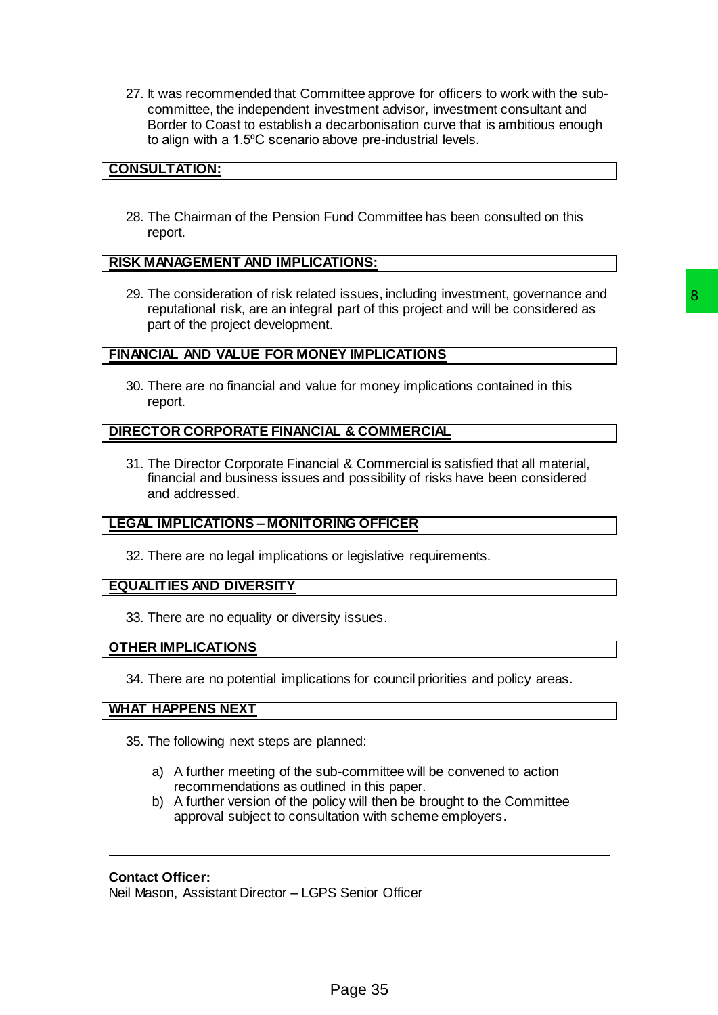27. It was recommended that Committee approve for officers to work with the subcommittee, the independent investment advisor, investment consultant and Border to Coast to establish a decarbonisation curve that is ambitious enough to align with a 1.5°C scenario above pre-industrial levels.

# **CONSULTATION:**

28. The Chairman of the Pension Fund Committee has been consulted on this report.

# **RISK MANAGEMENT AND IMPLICATIONS:**

29. The consideration of risk related issues, including investment, governance and reputational risk, are an integral part of this project and will be considered as part of the project development. d issues, including investment, governance and<br>
Part of this project and will be considered as<br>
Part of this project and will be considered as<br>
Page 10 money implications contained in this<br>
Commercial is satisfied that all

## **FINANCIAL AND VALUE FOR MONEY IMPLICATIONS**

30. There are no financial and value for money implications contained in this report.

# **DIRECTOR CORPORATE FINANCIAL & COMMERCIAL**

31. The Director Corporate Financial & Commercial is satisfied that all material, financial and business issues and possibility of risks have been considered and addressed.

# **LEGAL IMPLICATIONS – MONITORING OFFICER**

32. There are no legal implications or legislative requirements.

### **EQUALITIES AND DIVERSITY**

33. There are no equality or diversity issues.

### **OTHER IMPLICATIONS**

34. There are no potential implications for council priorities and policy areas.

## **WHAT HAPPENS NEXT**

- 35. The following next steps are planned:
	- a) A further meeting of the sub-committee will be convened to action recommendations as outlined in this paper.
	- b) A further version of the policy will then be brought to the Committee approval subject to consultation with scheme employers.

## **Contact Officer:**

Neil Mason, Assistant Director – LGPS Senior Officer